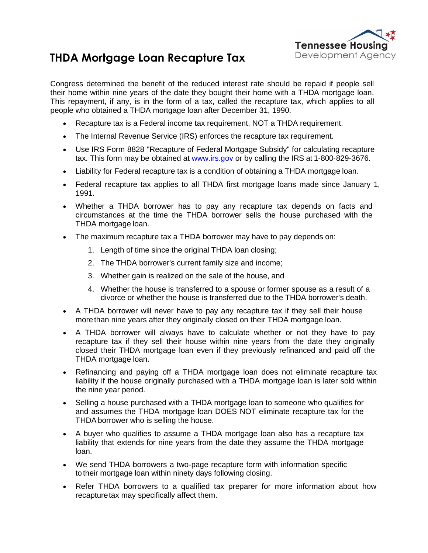

## **THDA Mortgage Loan Recapture Tax**

Congress determined the benefit of the reduced interest rate should be repaid if people sell their home within nine years of the date they bought their home with a THDA mortgage loan. This repayment, if any, is in the form of a tax, called the recapture tax, which applies to all people who obtained a THDA mortgage loan after December 31, 1990.

- Recapture tax is a Federal income tax requirement, NOT a THDA requirement.
- The Internal Revenue Service (IRS) enforces the recapture tax requirement.
- Use IRS Form 8828 "Recapture of Federal Mortgage Subsidy" for calculating recapture tax. This form may be obtained at [www.irs.gov](http://www.irs.gov/) or by calling the IRS at 1‐800‐829‐3676.
- Liability for Federal recapture tax is a condition of obtaining a THDA mortgage loan.
- Federal recapture tax applies to all THDA first mortgage loans made since January 1, 1991.
- Whether a THDA borrower has to pay any recapture tax depends on facts and circumstances at the time the THDA borrower sells the house purchased with the THDA mortgage loan.
- The maximum recapture tax a THDA borrower may have to pay depends on:
	- 1. Length of time since the original THDA loan closing;
	- 2. The THDA borrower's current family size and income;
	- 3. Whether gain is realized on the sale of the house, and
	- 4. Whether the house is transferred to a spouse or former spouse as a result of a divorce or whether the house is transferred due to the THDA borrower's death.
- A THDA borrower will never have to pay any recapture tax if they sell their house morethan nine years after they originally closed on their THDA mortgage loan.
- A THDA borrower will always have to calculate whether or not they have to pay recapture tax if they sell their house within nine years from the date they originally closed their THDA mortgage loan even if they previously refinanced and paid off the THDA mortgage loan.
- Refinancing and paying off a THDA mortgage loan does not eliminate recapture tax liability if the house originally purchased with a THDA mortgage loan is later sold within the nine year period.
- Selling a house purchased with a THDA mortgage loan to someone who qualifies for and assumes the THDA mortgage loan DOES NOT eliminate recapture tax for the THDA borrower who is selling the house.
- A buyer who qualifies to assume a THDA mortgage loan also has a recapture tax liability that extends for nine years from the date they assume the THDA mortgage loan.
- We send THDA borrowers a two-page recapture form with information specific to their mortgage loan within ninety days following closing.
- Refer THDA borrowers to a qualified tax preparer for more information about how recapturetax may specifically affect them.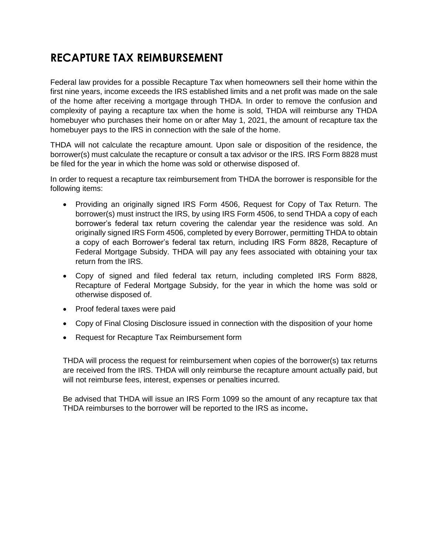## **RECAPTURE TAX REIMBURSEMENT**

Federal law provides for a possible Recapture Tax when homeowners sell their home within the first nine years, income exceeds the IRS established limits and a net profit was made on the sale of the home after receiving a mortgage through THDA. In order to remove the confusion and complexity of paying a recapture tax when the home is sold, THDA will reimburse any THDA homebuyer who purchases their home on or after May 1, 2021, the amount of recapture tax the homebuyer pays to the IRS in connection with the sale of the home.

THDA will not calculate the recapture amount. Upon sale or disposition of the residence, the borrower(s) must calculate the recapture or consult a tax advisor or the IRS. IRS Form 8828 must be filed for the year in which the home was sold or otherwise disposed of.

In order to request a recapture tax reimbursement from THDA the borrower is responsible for the following items:

- Providing an originally signed IRS Form 4506, Request for Copy of Tax Return. The borrower(s) must instruct the IRS, by using IRS Form 4506, to send THDA a copy of each borrower's federal tax return covering the calendar year the residence was sold. An originally signed IRS Form 4506, completed by every Borrower, permitting THDA to obtain a copy of each Borrower's federal tax return, including IRS Form 8828, Recapture of Federal Mortgage Subsidy. THDA will pay any fees associated with obtaining your tax return from the IRS.
- Copy of signed and filed federal tax return, including completed IRS Form 8828, Recapture of Federal Mortgage Subsidy, for the year in which the home was sold or otherwise disposed of.
- Proof federal taxes were paid
- Copy of Final Closing Disclosure issued in connection with the disposition of your home
- Request for Recapture Tax Reimbursement form

THDA will process the request for reimbursement when copies of the borrower(s) tax returns are received from the IRS. THDA will only reimburse the recapture amount actually paid, but will not reimburse fees, interest, expenses or penalties incurred.

Be advised that THDA will issue an IRS Form 1099 so the amount of any recapture tax that THDA reimburses to the borrower will be reported to the IRS as income**.**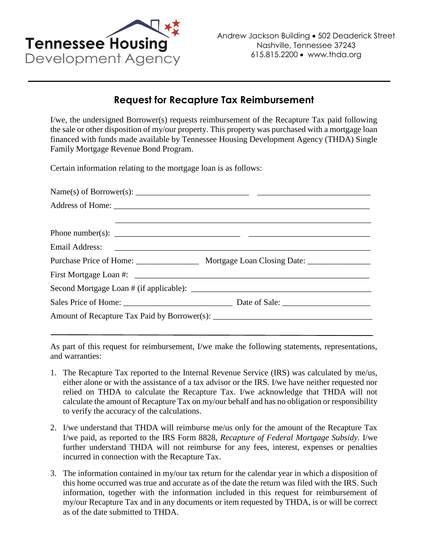

## **Request for Recapture Tax Reimbursement**

I/we, the undersigned Borrower(s) requests reimbursement of the Recapture Tax paid following the sale or other disposition of my/our property. This property was purchased with a mortgage loan financed with funds made available by Tennessee Housing Development Agency (THDA) Single Family Mortgage Revenue Bond Program.

Certain information relating to the mortgage loan is as follows:

| Phone number(s): $\frac{1}{\sqrt{1-\frac{1}{2}}\sqrt{1-\frac{1}{2}}\sqrt{1-\frac{1}{2}}\sqrt{1-\frac{1}{2}}}}$ |
|----------------------------------------------------------------------------------------------------------------|
| Email Address: <u>International Address</u>                                                                    |
| Purchase Price of Home: ________________________ Mortgage Loan Closing Date: _______________________           |
|                                                                                                                |
|                                                                                                                |
|                                                                                                                |
|                                                                                                                |
|                                                                                                                |

As part of this request for reimbursement, I/we make the following statements, representations, and warranties:

- 1. The Recapture Tax reported to the Internal Revenue Service (IRS) was calculated by me/us, either alone or with the assistance of a tax advisor or the IRS. I/we have neither requested nor relied on THDA to calculate the Recapture Tax. I/we acknowledge that THDA will not calculate the amount of Recapture Tax on my/our behalf and has no obligation or responsibility to verify the accuracy of the calculations.
- 2. I/we understand that THDA will reimburse me/us only for the amount of the Recapture Tax I/we paid, as reported to the IRS Form 8828, *Recapture of Federal Mortgage Subsidy.* I/we further understand THDA will not reimburse for any fees, interest, expenses or penalties incurred in connection with the Recapture Tax.
- 3. The information contained in my/our tax return for the calendar year in which a disposition of this home occurred was true and accurate as of the date the return was filed with the IRS. Such information, together with the information included in this request for reimbursement of my/our Recapture Tax and in any documents or item requested by THDA, is or will be correct as of the date submitted to THDA.